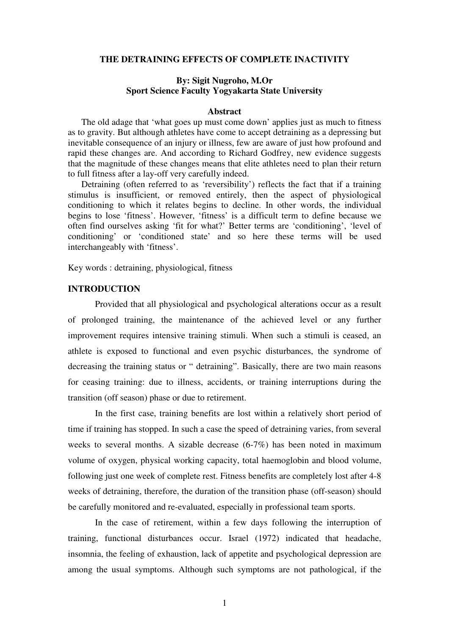### **THE DETRAINING EFFECTS OF COMPLETE INACTIVITY**

# **By: Sigit Nugroho, M.Or Sport Science Faculty Yogyakarta State University**

### **Abstract**

The old adage that 'what goes up must come down' applies just as much to fitness as to gravity. But although athletes have come to accept detraining as a depressing but inevitable consequence of an injury or illness, few are aware of just how profound and rapid these changes are. And according to Richard Godfrey, new evidence suggests that the magnitude of these changes means that elite athletes need to plan their return to full fitness after a lay-off very carefully indeed.

Detraining (often referred to as 'reversibility') reflects the fact that if a training stimulus is insufficient, or removed entirely, then the aspect of physiological conditioning to which it relates begins to decline. In other words, the individual begins to lose 'fitness'. However, 'fitness' is a difficult term to define because we often find ourselves asking 'fit for what?' Better terms are 'conditioning', 'level of conditioning' or 'conditioned state' and so here these terms will be used interchangeably with 'fitness'.

Key words : detraining, physiological, fitness

# **INTRODUCTION**

Provided that all physiological and psychological alterations occur as a result of prolonged training, the maintenance of the achieved level or any further improvement requires intensive training stimuli. When such a stimuli is ceased, an athlete is exposed to functional and even psychic disturbances, the syndrome of decreasing the training status or " detraining". Basically, there are two main reasons for ceasing training: due to illness, accidents, or training interruptions during the transition (off season) phase or due to retirement.

In the first case, training benefits are lost within a relatively short period of time if training has stopped. In such a case the speed of detraining varies, from several weeks to several months. A sizable decrease (6-7%) has been noted in maximum volume of oxygen, physical working capacity, total haemoglobin and blood volume, following just one week of complete rest. Fitness benefits are completely lost after 4-8 weeks of detraining, therefore, the duration of the transition phase (off-season) should be carefully monitored and re-evaluated, especially in professional team sports.

In the case of retirement, within a few days following the interruption of training, functional disturbances occur. Israel (1972) indicated that headache, insomnia, the feeling of exhaustion, lack of appetite and psychological depression are among the usual symptoms. Although such symptoms are not pathological, if the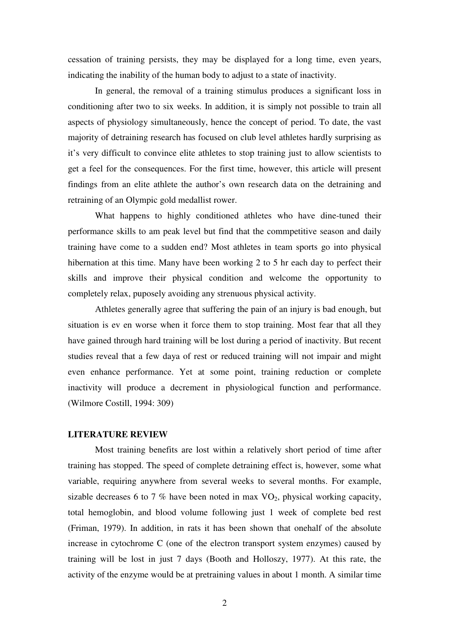cessation of training persists, they may be displayed for a long time, even years, indicating the inability of the human body to adjust to a state of inactivity.

In general, the removal of a training stimulus produces a significant loss in conditioning after two to six weeks. In addition, it is simply not possible to train all aspects of physiology simultaneously, hence the concept of period. To date, the vast majority of detraining research has focused on club level athletes hardly surprising as it's very difficult to convince elite athletes to stop training just to allow scientists to get a feel for the consequences. For the first time, however, this article will present findings from an elite athlete the author's own research data on the detraining and retraining of an Olympic gold medallist rower.

What happens to highly conditioned athletes who have dine-tuned their performance skills to am peak level but find that the commpetitive season and daily training have come to a sudden end? Most athletes in team sports go into physical hibernation at this time. Many have been working 2 to 5 hr each day to perfect their skills and improve their physical condition and welcome the opportunity to completely relax, puposely avoiding any strenuous physical activity.

Athletes generally agree that suffering the pain of an injury is bad enough, but situation is ev en worse when it force them to stop training. Most fear that all they have gained through hard training will be lost during a period of inactivity. But recent studies reveal that a few daya of rest or reduced training will not impair and might even enhance performance. Yet at some point, training reduction or complete inactivity will produce a decrement in physiological function and performance. (Wilmore Costill, 1994: 309)

## **LITERATURE REVIEW**

Most training benefits are lost within a relatively short period of time after training has stopped. The speed of complete detraining effect is, however, some what variable, requiring anywhere from several weeks to several months. For example, sizable decreases 6 to 7 % have been noted in max  $VO<sub>2</sub>$ , physical working capacity, total hemoglobin, and blood volume following just 1 week of complete bed rest (Friman, 1979). In addition, in rats it has been shown that onehalf of the absolute increase in cytochrome C (one of the electron transport system enzymes) caused by training will be lost in just 7 days (Booth and Holloszy, 1977). At this rate, the activity of the enzyme would be at pretraining values in about 1 month. A similar time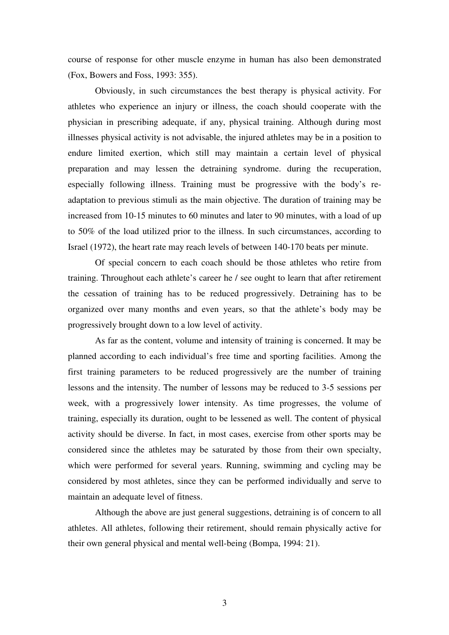course of response for other muscle enzyme in human has also been demonstrated (Fox, Bowers and Foss, 1993: 355).

Obviously, in such circumstances the best therapy is physical activity. For athletes who experience an injury or illness, the coach should cooperate with the physician in prescribing adequate, if any, physical training. Although during most illnesses physical activity is not advisable, the injured athletes may be in a position to endure limited exertion, which still may maintain a certain level of physical preparation and may lessen the detraining syndrome. during the recuperation, especially following illness. Training must be progressive with the body's readaptation to previous stimuli as the main objective. The duration of training may be increased from 10-15 minutes to 60 minutes and later to 90 minutes, with a load of up to 50% of the load utilized prior to the illness. In such circumstances, according to Israel (1972), the heart rate may reach levels of between 140-170 beats per minute.

Of special concern to each coach should be those athletes who retire from training. Throughout each athlete's career he / see ought to learn that after retirement the cessation of training has to be reduced progressively. Detraining has to be organized over many months and even years, so that the athlete's body may be progressively brought down to a low level of activity.

As far as the content, volume and intensity of training is concerned. It may be planned according to each individual's free time and sporting facilities. Among the first training parameters to be reduced progressively are the number of training lessons and the intensity. The number of lessons may be reduced to 3-5 sessions per week, with a progressively lower intensity. As time progresses, the volume of training, especially its duration, ought to be lessened as well. The content of physical activity should be diverse. In fact, in most cases, exercise from other sports may be considered since the athletes may be saturated by those from their own specialty, which were performed for several years. Running, swimming and cycling may be considered by most athletes, since they can be performed individually and serve to maintain an adequate level of fitness.

Although the above are just general suggestions, detraining is of concern to all athletes. All athletes, following their retirement, should remain physically active for their own general physical and mental well-being (Bompa, 1994: 21).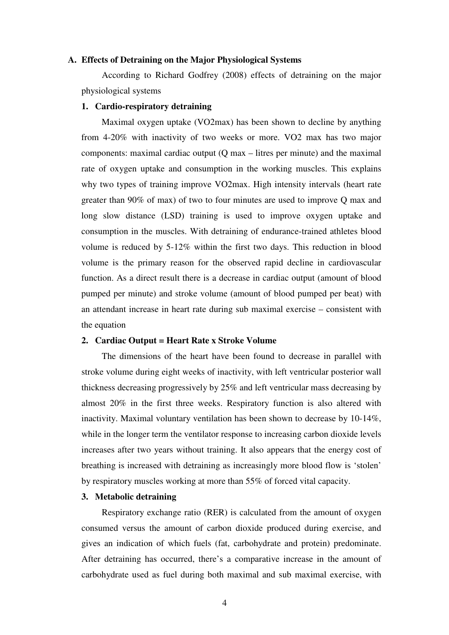### **A. Effects of Detraining on the Major Physiological Systems**

According to Richard Godfrey (2008) effects of detraining on the major physiological systems

### **1. Cardio-respiratory detraining**

Maximal oxygen uptake (VO2max) has been shown to decline by anything from 4-20% with inactivity of two weeks or more. VO2 max has two major components: maximal cardiac output (Q max – litres per minute) and the maximal rate of oxygen uptake and consumption in the working muscles. This explains why two types of training improve VO2max. High intensity intervals (heart rate greater than 90% of max) of two to four minutes are used to improve Q max and long slow distance (LSD) training is used to improve oxygen uptake and consumption in the muscles. With detraining of endurance-trained athletes blood volume is reduced by 5-12% within the first two days. This reduction in blood volume is the primary reason for the observed rapid decline in cardiovascular function. As a direct result there is a decrease in cardiac output (amount of blood pumped per minute) and stroke volume (amount of blood pumped per beat) with an attendant increase in heart rate during sub maximal exercise – consistent with the equation

### **2. Cardiac Output = Heart Rate x Stroke Volume**

The dimensions of the heart have been found to decrease in parallel with stroke volume during eight weeks of inactivity, with left ventricular posterior wall thickness decreasing progressively by 25% and left ventricular mass decreasing by almost 20% in the first three weeks. Respiratory function is also altered with inactivity. Maximal voluntary ventilation has been shown to decrease by 10-14%, while in the longer term the ventilator response to increasing carbon dioxide levels increases after two years without training. It also appears that the energy cost of breathing is increased with detraining as increasingly more blood flow is 'stolen' by respiratory muscles working at more than 55% of forced vital capacity.

#### **3. Metabolic detraining**

Respiratory exchange ratio (RER) is calculated from the amount of oxygen consumed versus the amount of carbon dioxide produced during exercise, and gives an indication of which fuels (fat, carbohydrate and protein) predominate. After detraining has occurred, there's a comparative increase in the amount of carbohydrate used as fuel during both maximal and sub maximal exercise, with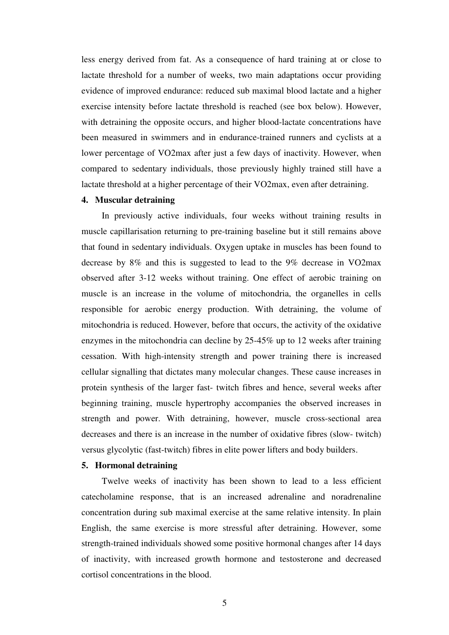less energy derived from fat. As a consequence of hard training at or close to lactate threshold for a number of weeks, two main adaptations occur providing evidence of improved endurance: reduced sub maximal blood lactate and a higher exercise intensity before lactate threshold is reached (see box below). However, with detraining the opposite occurs, and higher blood-lactate concentrations have been measured in swimmers and in endurance-trained runners and cyclists at a lower percentage of VO2max after just a few days of inactivity. However, when compared to sedentary individuals, those previously highly trained still have a lactate threshold at a higher percentage of their VO2max, even after detraining.

## **4. Muscular detraining**

In previously active individuals, four weeks without training results in muscle capillarisation returning to pre-training baseline but it still remains above that found in sedentary individuals. Oxygen uptake in muscles has been found to decrease by 8% and this is suggested to lead to the 9% decrease in VO2max observed after 3-12 weeks without training. One effect of aerobic training on muscle is an increase in the volume of mitochondria, the organelles in cells responsible for aerobic energy production. With detraining, the volume of mitochondria is reduced. However, before that occurs, the activity of the oxidative enzymes in the mitochondria can decline by 25-45% up to 12 weeks after training cessation. With high-intensity strength and power training there is increased cellular signalling that dictates many molecular changes. These cause increases in protein synthesis of the larger fast- twitch fibres and hence, several weeks after beginning training, muscle hypertrophy accompanies the observed increases in strength and power. With detraining, however, muscle cross-sectional area decreases and there is an increase in the number of oxidative fibres (slow- twitch) versus glycolytic (fast-twitch) fibres in elite power lifters and body builders.

### **5. Hormonal detraining**

Twelve weeks of inactivity has been shown to lead to a less efficient catecholamine response, that is an increased adrenaline and noradrenaline concentration during sub maximal exercise at the same relative intensity. In plain English, the same exercise is more stressful after detraining. However, some strength-trained individuals showed some positive hormonal changes after 14 days of inactivity, with increased growth hormone and testosterone and decreased cortisol concentrations in the blood.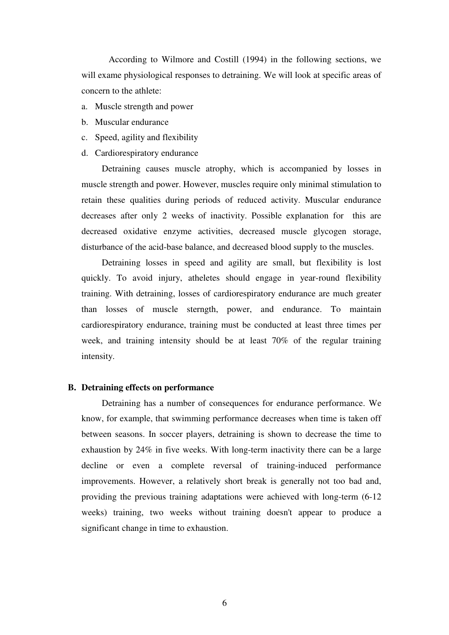According to Wilmore and Costill (1994) in the following sections, we will exame physiological responses to detraining. We will look at specific areas of concern to the athlete:

- a. Muscle strength and power
- b. Muscular endurance
- c. Speed, agility and flexibility
- d. Cardiorespiratory endurance

Detraining causes muscle atrophy, which is accompanied by losses in muscle strength and power. However, muscles require only minimal stimulation to retain these qualities during periods of reduced activity. Muscular endurance decreases after only 2 weeks of inactivity. Possible explanation for this are decreased oxidative enzyme activities, decreased muscle glycogen storage, disturbance of the acid-base balance, and decreased blood supply to the muscles.

Detraining losses in speed and agility are small, but flexibility is lost quickly. To avoid injury, atheletes should engage in year-round flexibility training. With detraining, losses of cardiorespiratory endurance are much greater than losses of muscle sterngth, power, and endurance. To maintain cardiorespiratory endurance, training must be conducted at least three times per week, and training intensity should be at least 70% of the regular training intensity.

### **B. Detraining effects on performance**

Detraining has a number of consequences for endurance performance. We know, for example, that swimming performance decreases when time is taken off between seasons. In soccer players, detraining is shown to decrease the time to exhaustion by 24% in five weeks. With long-term inactivity there can be a large decline or even a complete reversal of training-induced performance improvements. However, a relatively short break is generally not too bad and, providing the previous training adaptations were achieved with long-term (6-12 weeks) training, two weeks without training doesn't appear to produce a significant change in time to exhaustion.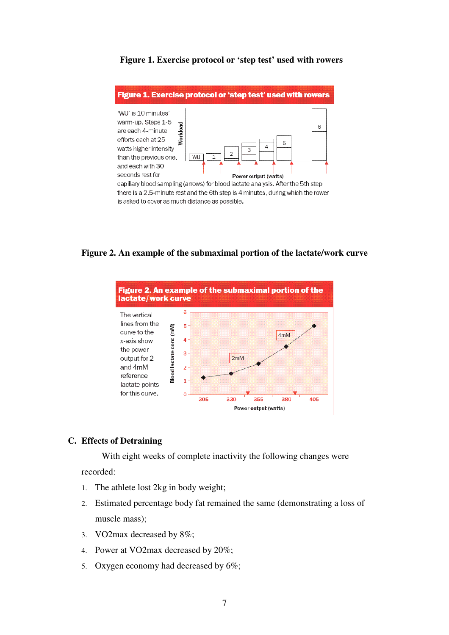

# **Figure 1. Exercise protocol or 'step test' used with rowers**

**Figure 2. An example of the submaximal portion of the lactate/work curve** 



# **C. Effects of Detraining**

With eight weeks of complete inactivity the following changes were

recorded:

- 1. The athlete lost 2kg in body weight;
- 2. Estimated percentage body fat remained the same (demonstrating a loss of muscle mass);
- 3. VO2max decreased by 8%;
- 4. Power at VO2max decreased by 20%;
- 5. Oxygen economy had decreased by 6%;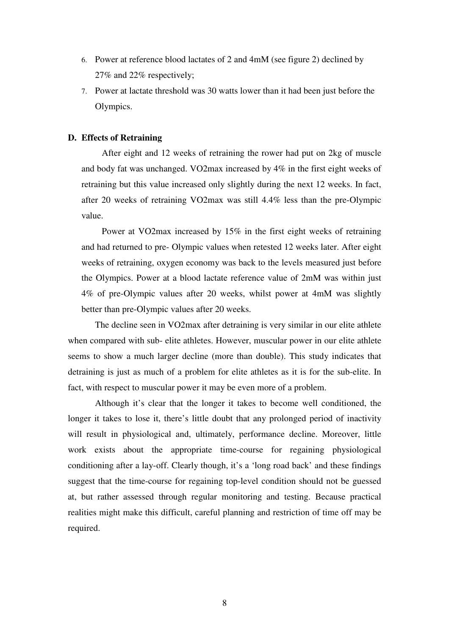- 6. Power at reference blood lactates of 2 and 4mM (see figure 2) declined by 27% and 22% respectively;
- 7. Power at lactate threshold was 30 watts lower than it had been just before the Olympics.

### **D. Effects of Retraining**

After eight and 12 weeks of retraining the rower had put on 2kg of muscle and body fat was unchanged. VO2max increased by 4% in the first eight weeks of retraining but this value increased only slightly during the next 12 weeks. In fact, after 20 weeks of retraining VO2max was still 4.4% less than the pre-Olympic value.

Power at VO2max increased by 15% in the first eight weeks of retraining and had returned to pre- Olympic values when retested 12 weeks later. After eight weeks of retraining, oxygen economy was back to the levels measured just before the Olympics. Power at a blood lactate reference value of 2mM was within just 4% of pre-Olympic values after 20 weeks, whilst power at 4mM was slightly better than pre-Olympic values after 20 weeks.

The decline seen in VO2max after detraining is very similar in our elite athlete when compared with sub- elite athletes. However, muscular power in our elite athlete seems to show a much larger decline (more than double). This study indicates that detraining is just as much of a problem for elite athletes as it is for the sub-elite. In fact, with respect to muscular power it may be even more of a problem.

Although it's clear that the longer it takes to become well conditioned, the longer it takes to lose it, there's little doubt that any prolonged period of inactivity will result in physiological and, ultimately, performance decline. Moreover, little work exists about the appropriate time-course for regaining physiological conditioning after a lay-off. Clearly though, it's a 'long road back' and these findings suggest that the time-course for regaining top-level condition should not be guessed at, but rather assessed through regular monitoring and testing. Because practical realities might make this difficult, careful planning and restriction of time off may be required.